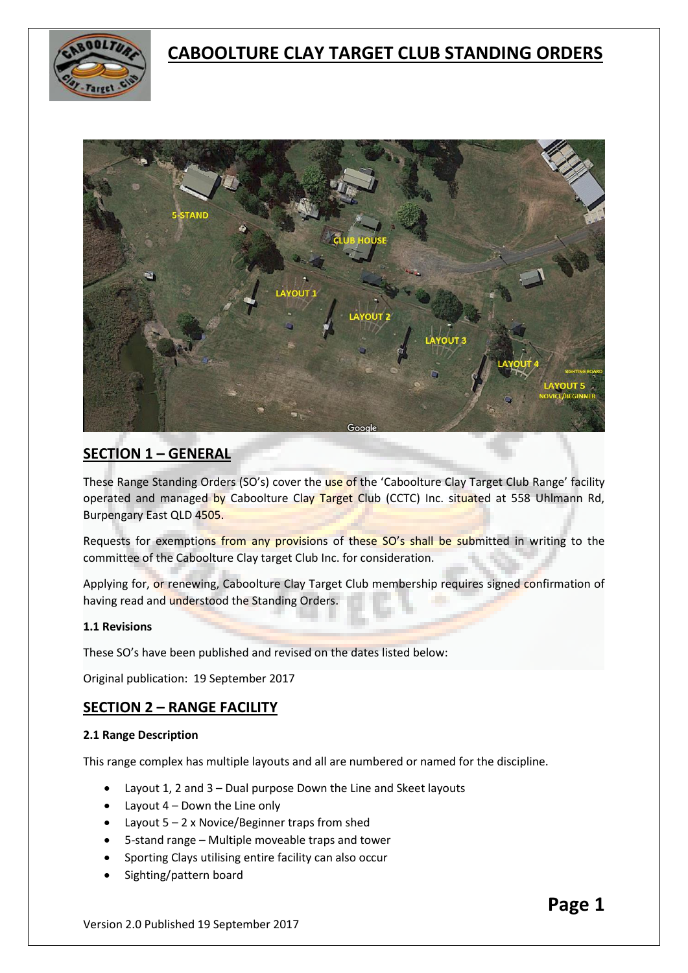



# **SECTION 1 – GENERAL**

These Range Standing Orders (SO's) cover the use of the 'Caboolture Clay Target Club Range' facility operated and managed by Caboolture Clay Target Club (CCTC) Inc. situated at 558 Uhlmann Rd, Burpengary East QLD 4505.

Requests for exemptions from any provisions of these SO's shall be submitted in writing to the committee of the Caboolture Clay target Club Inc. for consideration.

Applying for, or renewing, Caboolture Clay Target Club membership requires signed confirmation of having read and understood the Standing Orders.

## **1.1 Revisions**

These SO's have been published and revised on the dates listed below:

Original publication: 19 September 2017

## **SECTION 2 – RANGE FACILITY**

#### **2.1 Range Description**

This range complex has multiple layouts and all are numbered or named for the discipline.

- Layout 1, 2 and 3 Dual purpose Down the Line and Skeet layouts
- Layout  $4$  Down the Line only
- Layout 5 2 x Novice/Beginner traps from shed
- 5-stand range Multiple moveable traps and tower
- Sporting Clays utilising entire facility can also occur
- Sighting/pattern board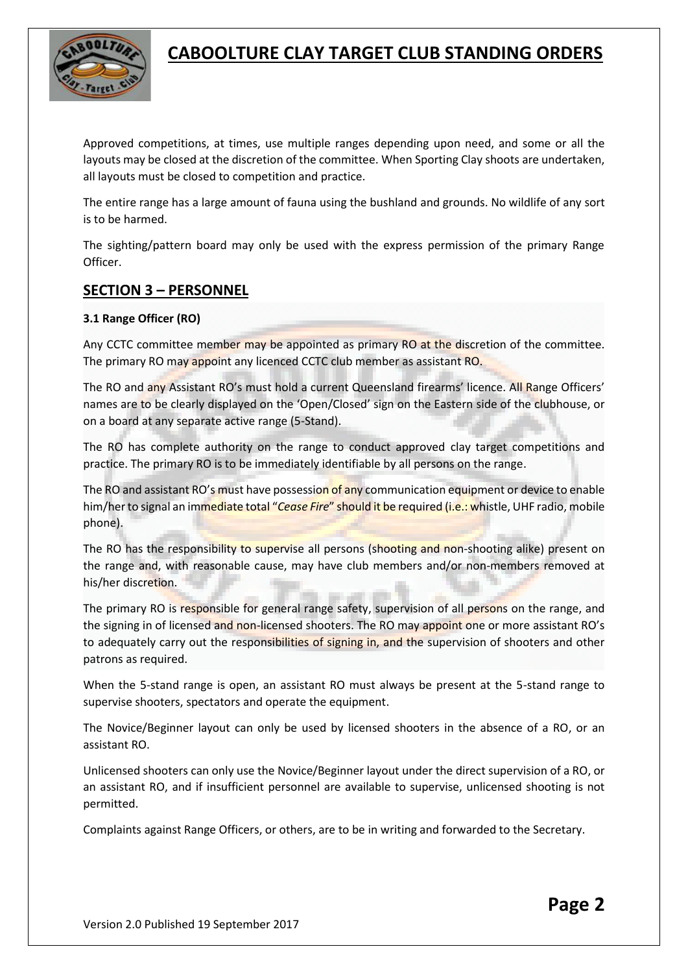

Approved competitions, at times, use multiple ranges depending upon need, and some or all the layouts may be closed at the discretion of the committee. When Sporting Clay shoots are undertaken, all layouts must be closed to competition and practice.

The entire range has a large amount of fauna using the bushland and grounds. No wildlife of any sort is to be harmed.

The sighting/pattern board may only be used with the express permission of the primary Range Officer.

## **SECTION 3 – PERSONNEL**

## **3.1 Range Officer (RO)**

Any CCTC committee member may be appointed as primary RO at the discretion of the committee. The primary RO may appoint any licenced CCTC club member as assistant RO.

The RO and any Assistant RO's must hold a current Queensland firearms' licence. All Range Officers' names are to be clearly displayed on the 'Open/Closed' sign on the Eastern side of the clubhouse, or on a board at any separate active range (5-Stand).

The RO has complete authority on the range to conduct approved clay target competitions and practice. The primary RO is to be immediately identifiable by all persons on the range.

The RO and assistant RO's must have possession of any communication equipment or device to enable him/her to signal an immediate total "*Cease Fire*" should it be required (i.e.: whistle, UHF radio, mobile phone).

The RO has the responsibility to supervise all persons (shooting and non-shooting alike) present on the range and, with reasonable cause, may have club members and/or non-members removed at his/her discretion.

The primary RO is responsible for general range safety, supervision of all persons on the range, and the signing in of licensed and non-licensed shooters. The RO may appoint one or more assistant RO's to adequately carry out the responsibilities of signing in, and the supervision of shooters and other patrons as required.

When the 5-stand range is open, an assistant RO must always be present at the 5-stand range to supervise shooters, spectators and operate the equipment.

The Novice/Beginner layout can only be used by licensed shooters in the absence of a RO, or an assistant RO.

Unlicensed shooters can only use the Novice/Beginner layout under the direct supervision of a RO, or an assistant RO, and if insufficient personnel are available to supervise, unlicensed shooting is not permitted.

Complaints against Range Officers, or others, are to be in writing and forwarded to the Secretary.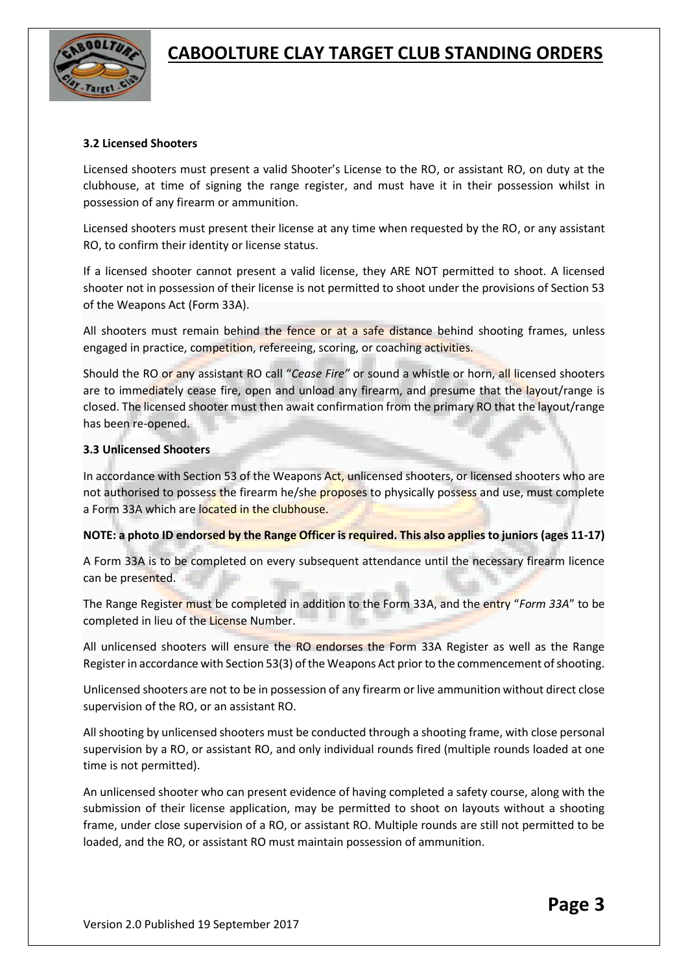

#### **3.2 Licensed Shooters**

Licensed shooters must present a valid Shooter's License to the RO, or assistant RO, on duty at the clubhouse, at time of signing the range register, and must have it in their possession whilst in possession of any firearm or ammunition.

Licensed shooters must present their license at any time when requested by the RO, or any assistant RO, to confirm their identity or license status.

If a licensed shooter cannot present a valid license, they ARE NOT permitted to shoot. A licensed shooter not in possession of their license is not permitted to shoot under the provisions of Section 53 of the Weapons Act (Form 33A).

All shooters must remain behind the fence or at a safe distance behind shooting frames, unless engaged in practice, competition, refereeing, scoring, or coaching activities.

Should the RO or any assistant RO call "*Cease Fire"* or sound a whistle or horn, all licensed shooters are to immediately cease fire, open and unload any firearm, and presume that the layout/range is closed. The licensed shooter must then await confirmation from the primary RO that the layout/range has been re-opened.

#### **3.3 Unlicensed Shooters**

In accordance with Section 53 of the Weapons Act, unlicensed shooters, or licensed shooters who are not authorised to possess the firearm he/she proposes to physically possess and use, must complete a Form 33A which are located in the clubhouse.

## **NOTE: a photo ID endorsed by the Range Officer is required. This also applies to juniors (ages 11-17)**

A Form 33A is to be completed on every subsequent attendance until the necessary firearm licence can be presented.

The Range Register must be completed in addition to the Form 33A, and the entry "*Form 33A*" to be completed in lieu of the License Number.

All unlicensed shooters will ensure the RO endorses the Form 33A Register as well as the Range Register in accordance with Section 53(3) of the Weapons Act prior to the commencement of shooting.

Unlicensed shooters are not to be in possession of any firearm or live ammunition without direct close supervision of the RO, or an assistant RO.

All shooting by unlicensed shooters must be conducted through a shooting frame, with close personal supervision by a RO, or assistant RO, and only individual rounds fired (multiple rounds loaded at one time is not permitted).

An unlicensed shooter who can present evidence of having completed a safety course, along with the submission of their license application, may be permitted to shoot on layouts without a shooting frame, under close supervision of a RO, or assistant RO. Multiple rounds are still not permitted to be loaded, and the RO, or assistant RO must maintain possession of ammunition.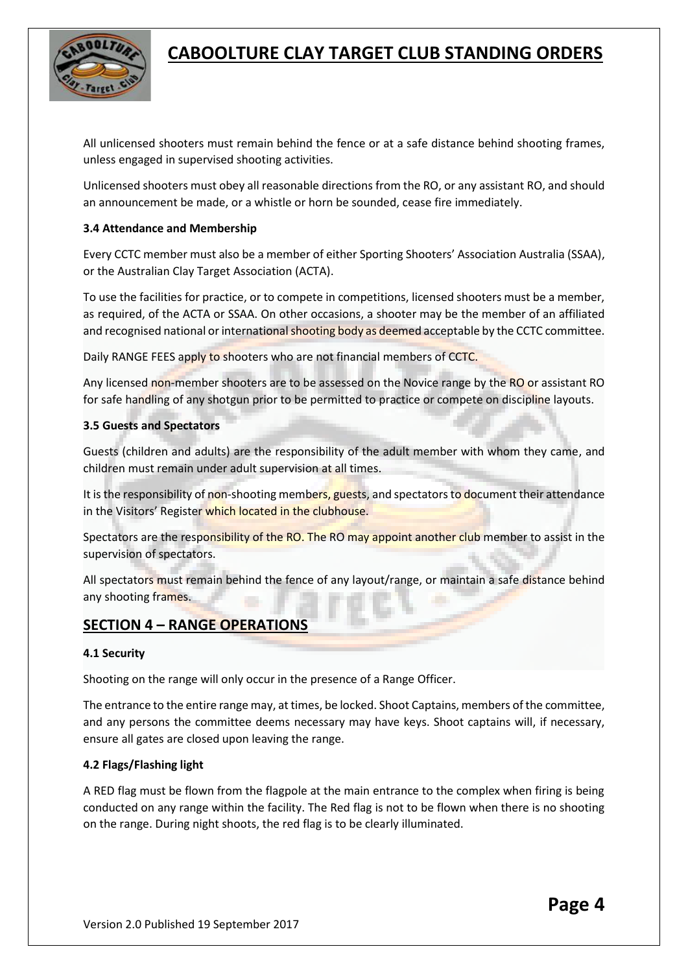

All unlicensed shooters must remain behind the fence or at a safe distance behind shooting frames, unless engaged in supervised shooting activities.

Unlicensed shooters must obey all reasonable directions from the RO, or any assistant RO, and should an announcement be made, or a whistle or horn be sounded, cease fire immediately.

### **3.4 Attendance and Membership**

Every CCTC member must also be a member of either Sporting Shooters' Association Australia (SSAA), or the Australian Clay Target Association (ACTA).

To use the facilities for practice, or to compete in competitions, licensed shooters must be a member, as required, of the ACTA or SSAA. On other occasions, a shooter may be the member of an affiliated and recognised national or international shooting body as deemed acceptable by the CCTC committee.

Daily RANGE FEES apply to shooters who are not financial members of CCTC.

Any licensed non-member shooters are to be assessed on the Novice range by the RO or assistant RO for safe handling of any shotgun prior to be permitted to practice or compete on discipline layouts.

#### **3.5 Guests and Spectators**

Guests (children and adults) are the responsibility of the adult member with whom they came, and children must remain under adult supervision at all times.

It is the responsibility of non-shooting members, guests, and spectators to document their attendance in the Visitors' Register which located in the clubhouse.

Spectators are the responsibility of the RO. The RO may appoint another club member to assist in the supervision of spectators.

All spectators must remain behind the fence of any layout/range, or maintain a safe distance behind any shooting frames.

## **SECTION 4 – RANGE OPERATIONS**

## **4.1 Security**

Shooting on the range will only occur in the presence of a Range Officer.

The entrance to the entire range may, at times, be locked. Shoot Captains, members of the committee, and any persons the committee deems necessary may have keys. Shoot captains will, if necessary, ensure all gates are closed upon leaving the range.

## **4.2 Flags/Flashing light**

A RED flag must be flown from the flagpole at the main entrance to the complex when firing is being conducted on any range within the facility. The Red flag is not to be flown when there is no shooting on the range. During night shoots, the red flag is to be clearly illuminated.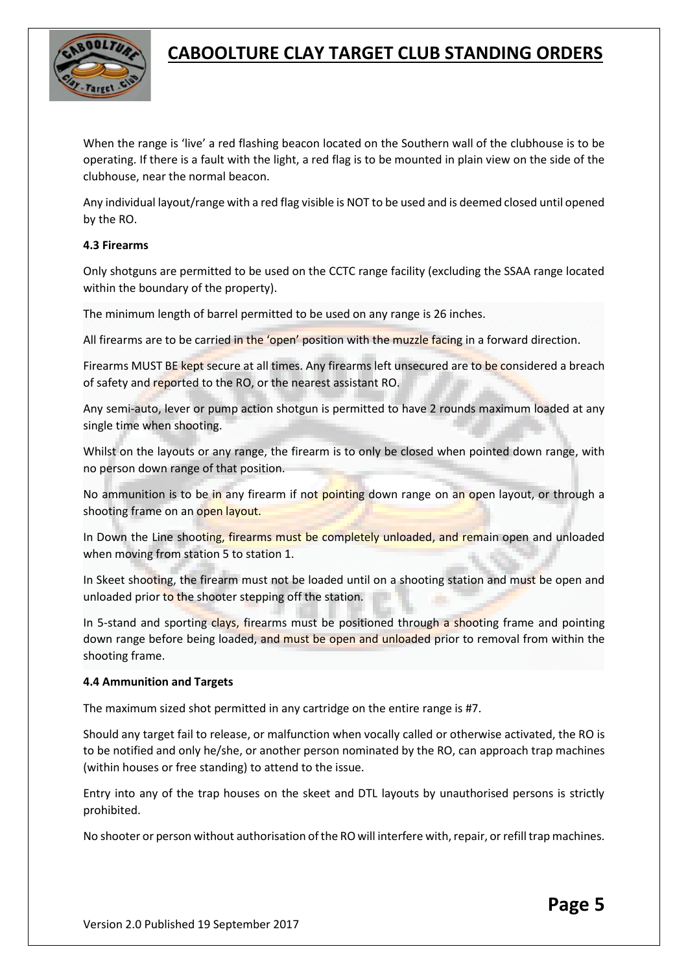

When the range is 'live' a red flashing beacon located on the Southern wall of the clubhouse is to be operating. If there is a fault with the light, a red flag is to be mounted in plain view on the side of the clubhouse, near the normal beacon.

Any individual layout/range with a red flag visible is NOT to be used and is deemed closed until opened by the RO.

### **4.3 Firearms**

Only shotguns are permitted to be used on the CCTC range facility (excluding the SSAA range located within the boundary of the property).

The minimum length of barrel permitted to be used on any range is 26 inches.

All firearms are to be carried in the 'open' position with the muzzle facing in a forward direction.

Firearms MUST BE kept secure at all times. Any firearms left unsecured are to be considered a breach of safety and reported to the RO, or the nearest assistant RO.

Any semi-auto, lever or pump action shotgun is permitted to have 2 rounds maximum loaded at any single time when shooting.

Whilst on the layouts or any range, the firearm is to only be closed when pointed down range, with no person down range of that position.

No ammunition is to be in any firearm if not pointing down range on an open layout, or through a shooting frame on an open layout.

In Down the Line shooting, firearms must be completely unloaded, and remain open and unloaded when moving from station 5 to station 1.

In Skeet shooting, the firearm must not be loaded until on a shooting station and must be open and unloaded prior to the shooter stepping off the station.

In 5-stand and sporting clays, firearms must be positioned through a shooting frame and pointing down range before being loaded, and must be open and unloaded prior to removal from within the shooting frame.

#### **4.4 Ammunition and Targets**

The maximum sized shot permitted in any cartridge on the entire range is #7.

Should any target fail to release, or malfunction when vocally called or otherwise activated, the RO is to be notified and only he/she, or another person nominated by the RO, can approach trap machines (within houses or free standing) to attend to the issue.

Entry into any of the trap houses on the skeet and DTL layouts by unauthorised persons is strictly prohibited.

No shooter or person without authorisation of the RO will interfere with, repair, or refill trap machines.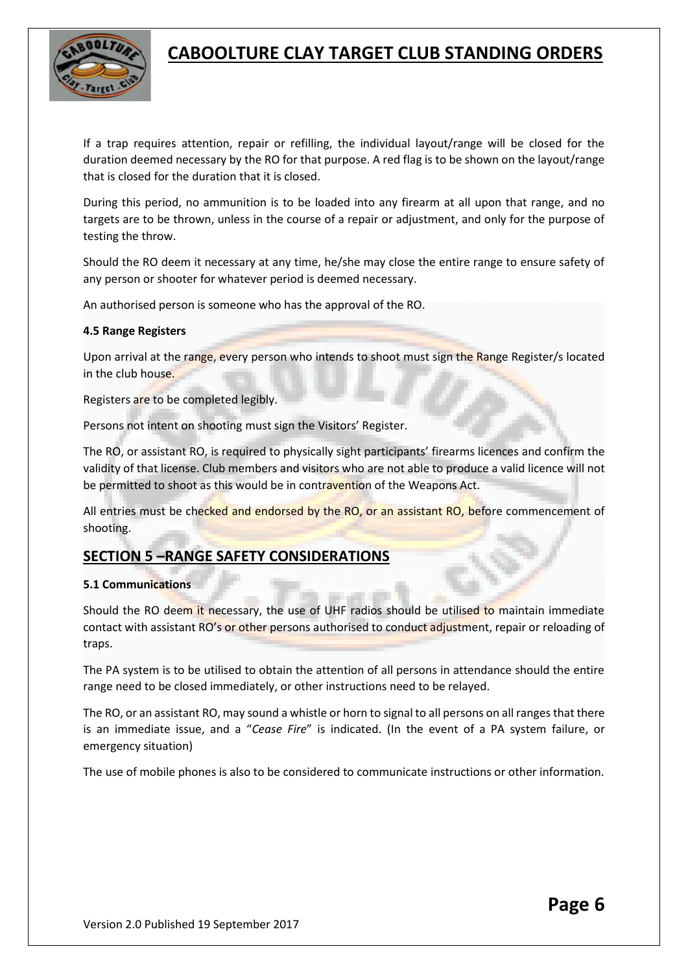

If a trap requires attention, repair or refilling, the individual layout/range will be closed for the duration deemed necessary by the RO for that purpose. A red flag is to be shown on the layout/range that is closed for the duration that it is closed.

During this period, no ammunition is to be loaded into any firearm at all upon that range, and no targets are to be thrown, unless in the course of a repair or adjustment, and only for the purpose of testing the throw.

Should the RO deem it necessary at any time, he/she may close the entire range to ensure safety of any person or shooter for whatever period is deemed necessary.

An authorised person is someone who has the approval of the RO.

### **4.5 Range Registers**

Upon arrival at the range, every person who intends to shoot must sign the Range Register/s located in the club house.

Registers are to be completed legibly.

Persons not intent on shooting must sign the Visitors' Register.

The RO, or assistant RO, is required to physically sight participants' firearms licences and confirm the validity of that license. Club members and visitors who are not able to produce a valid licence will not be permitted to shoot as this would be in contravention of the Weapons Act.

All entries must be checked and endorsed by the RO, or an assistant RO, before commencement of shooting.

# **SECTION 5 –RANGE SAFETY CONSIDERATIONS**

#### **5.1 Communications**

Should the RO deem it necessary, the use of UHF radios should be utilised to maintain immediate contact with assistant RO's or other persons authorised to conduct adjustment, repair or reloading of traps.

The PA system is to be utilised to obtain the attention of all persons in attendance should the entire range need to be closed immediately, or other instructions need to be relayed.

The RO, or an assistant RO, may sound a whistle or horn to signal to all persons on all ranges that there is an immediate issue, and a "*Cease Fire*" is indicated. (In the event of a PA system failure, or emergency situation)

The use of mobile phones is also to be considered to communicate instructions or other information.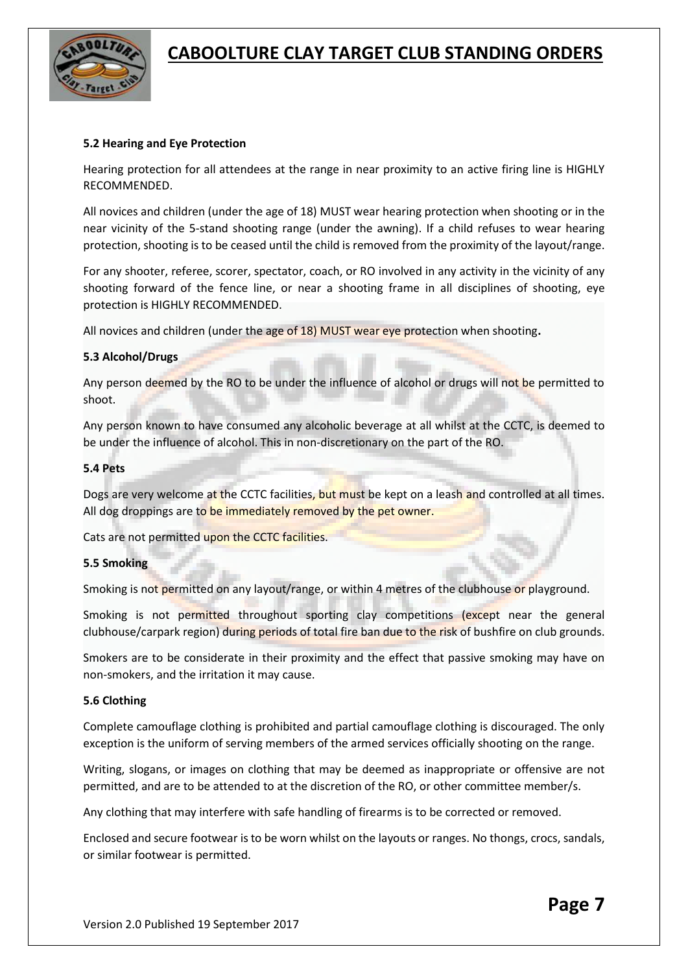

#### **5.2 Hearing and Eye Protection**

Hearing protection for all attendees at the range in near proximity to an active firing line is HIGHLY RECOMMENDED.

All novices and children (under the age of 18) MUST wear hearing protection when shooting or in the near vicinity of the 5-stand shooting range (under the awning). If a child refuses to wear hearing protection, shooting is to be ceased until the child is removed from the proximity of the layout/range.

For any shooter, referee, scorer, spectator, coach, or RO involved in any activity in the vicinity of any shooting forward of the fence line, or near a shooting frame in all disciplines of shooting, eye protection is HIGHLY RECOMMENDED.

All novices and children (under the age of 18) MUST wear eye protection when shooting**.**

#### **5.3 Alcohol/Drugs**

Any person deemed by the RO to be under the influence of alcohol or drugs will not be permitted to shoot.

Any person known to have consumed any alcoholic beverage at all whilst at the CCTC, is deemed to be under the influence of alcohol. This in non-discretionary on the part of the RO.

#### **5.4 Pets**

Dogs are very welcome at the CCTC facilities, but must be kept on a leash and controlled at all times. All dog droppings are to be immediately removed by the pet owner.

Cats are not permitted upon the CCTC facilities.

#### **5.5 Smoking**

Smoking is not permitted on any layout/range, or within 4 metres of the clubhouse or playground.

Smoking is not permitted throughout sporting clay competitions (except near the general clubhouse/carpark region) during periods of total fire ban due to the risk of bushfire on club grounds.

Smokers are to be considerate in their proximity and the effect that passive smoking may have on non-smokers, and the irritation it may cause.

#### **5.6 Clothing**

Complete camouflage clothing is prohibited and partial camouflage clothing is discouraged. The only exception is the uniform of serving members of the armed services officially shooting on the range.

Writing, slogans, or images on clothing that may be deemed as inappropriate or offensive are not permitted, and are to be attended to at the discretion of the RO, or other committee member/s.

Any clothing that may interfere with safe handling of firearms is to be corrected or removed.

Enclosed and secure footwear is to be worn whilst on the layouts or ranges. No thongs, crocs, sandals, or similar footwear is permitted.